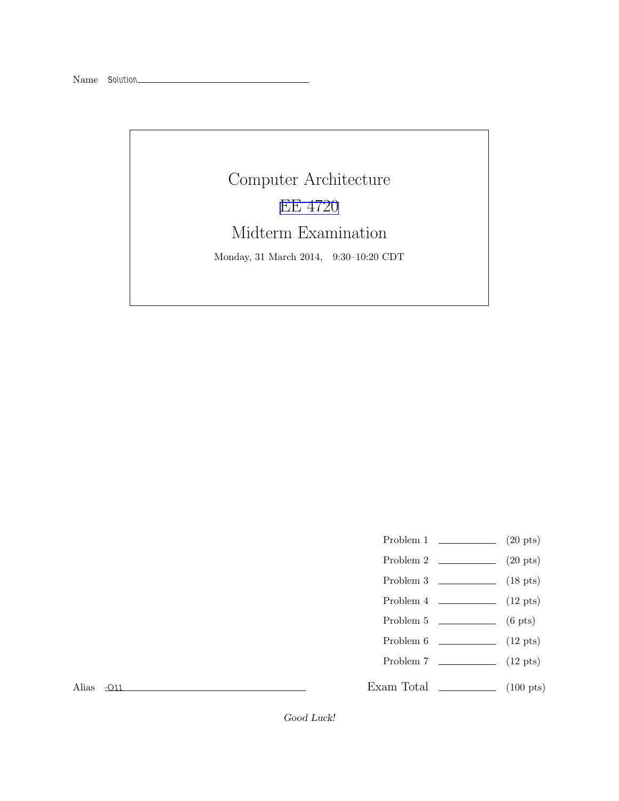## Computer Architecture [EE 4720](http://www.ece.lsu.edu/ee4720/) Midterm Examination Monday, 31 March 2014, 9:30–10:20 CDT

- Problem 1  $\qquad \qquad (20 \text{ pts})$
- Problem 2  $\qquad \qquad (20 \text{ pts})$
- Problem 3  $\qquad \qquad$  (18 pts)
- Problem  $4 \t\t(12 \text{ pts})$
- Problem 5 (6 pts)
- Problem  $6 \t\t(12 \text{ pts})$
- Problem 7 (12 pts)

Exam Total \_\_\_\_\_\_\_\_\_\_\_\_\_\_ (100 pts)

Alias -O11

Good Luck!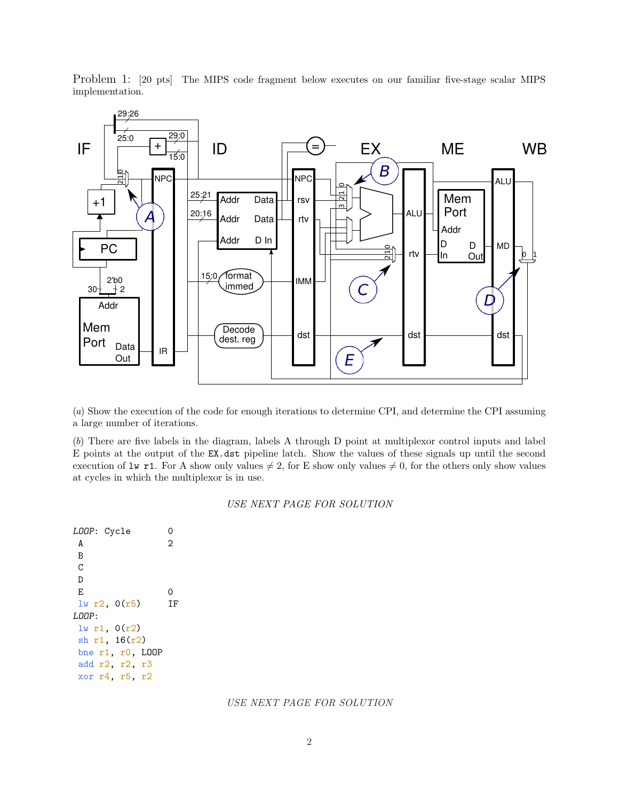

Problem 1: [20 pts] The MIPS code fragment below executes on our familiar five-stage scalar MIPS implementation.

(*a*) Show the execution of the code for enough iterations to determine CPI, and determine the CPI assuming a large number of iterations.

(*b*) There are five labels in the diagram, labels A through D point at multiplexor control inputs and label E points at the output of the EX.dst pipeline latch. Show the values of these signals up until the second execution of  $\text{Iw r1.}$  For A show only values  $\neq 2$ , for E show only values  $\neq 0$ , for the others only show values at cycles in which the multiplexor is in use.

## *USE NEXT PAGE FOR SOLUTION*

```
LOOP: Cycle 0
 A 2
B
\rm CD
 E 0
lw r2, 0(r5) IF
LOOP:
lw r1, 0(r2)
sh r1, 16(r2)
bne r1, r0, LOOP
add r2, r2, r3
xor r4, r5, r2
```
## *USE NEXT PAGE FOR SOLUTION*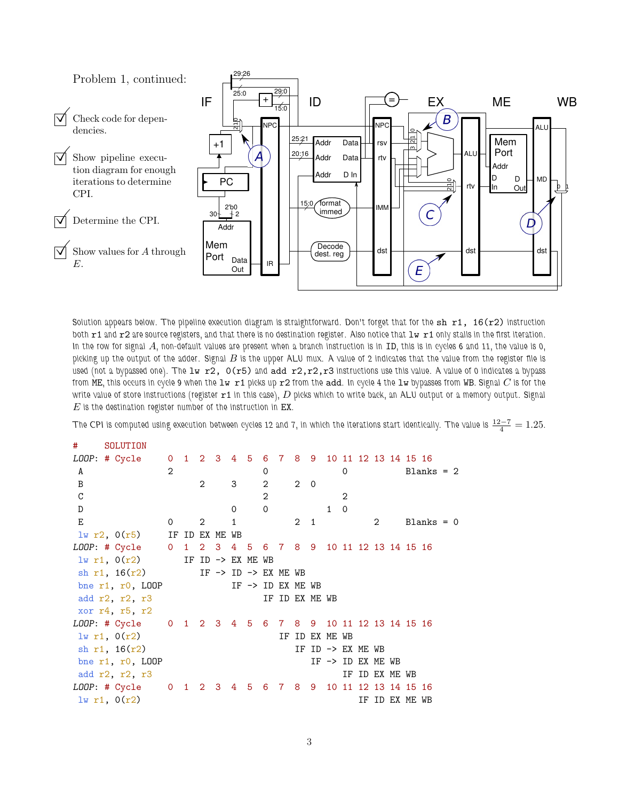

Solution appears below. The pipeline execution diagram is straightforward. Don't forget that for the sh r1, 16(r2) instruction both r1 and r2 are source registers, and that there is no destination register. Also notice that  $1w$  r1 only stalls in the first iteration. In the row for signal  $A$ , non-default values are present when a branch instruction is in ID, this is in cycles 6 and 11, the value is 0, picking up the output of the adder. Signal  $B$  is the upper ALU mux. A value of 2 indicates that the value from the register file is used (not a bypassed one). The  $1w$  r2,  $0(r5)$  and add r2,r2,r3 instructions use this value. A value of 0 indicates a bypass from ME, this occurs in cycle 9 when the  $1w$  r1 picks up r2 from the add. In cycle 4 the  $1w$  bypasses from WB. Signal  $C$  is for the write value of store instructions (register  $r1$  in this case),  $D$  picks which to write back, an ALU output or a memory output. Signal  $E$  is the destination register number of the instruction in  $EX$ .

The CPI is computed using execution between cycles 12 and 7, in which the iterations start identically. The value is  $\frac{12-7}{4}=1.25.$ 

| #           | SOLUTION                                               |                |                              |                                   |              |                |                              |                |   |                   |                              |               |                |                |              |  |
|-------------|--------------------------------------------------------|----------------|------------------------------|-----------------------------------|--------------|----------------|------------------------------|----------------|---|-------------------|------------------------------|---------------|----------------|----------------|--------------|--|
|             | LOOP: # Cycle 0 1 2 3 4 5 6 7 8 9 10 11 12 13 14 15 16 |                |                              |                                   |              |                |                              |                |   |                   |                              |               |                |                |              |  |
| A           |                                                        | $\overline{2}$ |                              |                                   |              | 0              |                              |                |   | 0                 |                              |               |                |                | $Blanks = 2$ |  |
| B           |                                                        |                |                              | $\overline{2}$ and $\overline{2}$ | $3^{\circ}$  | 2              |                              | $2 \quad 0$    |   |                   |                              |               |                |                |              |  |
| $\mathsf C$ |                                                        |                |                              |                                   |              | $\overline{2}$ |                              |                |   | $\mathcal{D}_{1}$ |                              |               |                |                |              |  |
| D           |                                                        |                |                              |                                   | $\mathbf 0$  | $\Omega$       |                              |                | 1 | $\Omega$          |                              |               |                |                |              |  |
| E           |                                                        | $\mathbf{0}$   | $2^{\circ}$                  |                                   | $\mathbf{1}$ |                |                              | $2 \quad 1$    |   |                   |                              | $\mathcal{L}$ |                |                | $Blanks = 0$ |  |
|             | $lw$ r2, $O(r5)$ IF ID EX ME WB                        |                |                              |                                   |              |                |                              |                |   |                   |                              |               |                |                |              |  |
|             | LOOP: # Cycle 0 1 2 3 4 5 6 7 8 9 10 11 12 13 14 15 16 |                |                              |                                   |              |                |                              |                |   |                   |                              |               |                |                |              |  |
|             | 1w r1, 0(r2)                                           |                | IF ID $\rightarrow$ EX ME WB |                                   |              |                |                              |                |   |                   |                              |               |                |                |              |  |
|             | sh r1, $16(r2)$ IF -> ID -> EX ME WB                   |                |                              |                                   |              |                |                              |                |   |                   |                              |               |                |                |              |  |
|             | bne $r1$ , $r0$ , $L00P$                               |                |                              |                                   |              |                | IF $\rightarrow$ ID EX ME WB |                |   |                   |                              |               |                |                |              |  |
|             | add r2, r2, r3                                         |                |                              |                                   |              |                | IF ID EX ME WB               |                |   |                   |                              |               |                |                |              |  |
|             | xor r4, r5, r2                                         |                |                              |                                   |              |                |                              |                |   |                   |                              |               |                |                |              |  |
|             | LOOP: # Cycle 0 1 2 3 4 5 6 7 8 9 10 11 12 13 14 15 16 |                |                              |                                   |              |                |                              |                |   |                   |                              |               |                |                |              |  |
|             | lw r1, 0(r2)                                           |                |                              |                                   |              |                |                              | IF ID EX ME WB |   |                   |                              |               |                |                |              |  |
|             | sh $r1, 16(r2)$                                        |                |                              |                                   |              |                |                              |                |   |                   | IF ID -> EX ME WB            |               |                |                |              |  |
|             | bne $r1$ , $r0$ , LOOP                                 |                |                              |                                   |              |                |                              |                |   |                   | IF $\rightarrow$ ID EX ME WB |               |                |                |              |  |
|             | add r2, r2, r3                                         |                |                              |                                   |              |                |                              |                |   |                   |                              |               | IF ID EX ME WB |                |              |  |
|             | LOOP: # Cycle 0 1 2 3 4 5 6 7 8 9 10 11 12 13 14 15 16 |                |                              |                                   |              |                |                              |                |   |                   |                              |               |                |                |              |  |
|             | $lw$ r1, $0(r2)$                                       |                |                              |                                   |              |                |                              |                |   |                   |                              |               |                | IF ID EX ME WB |              |  |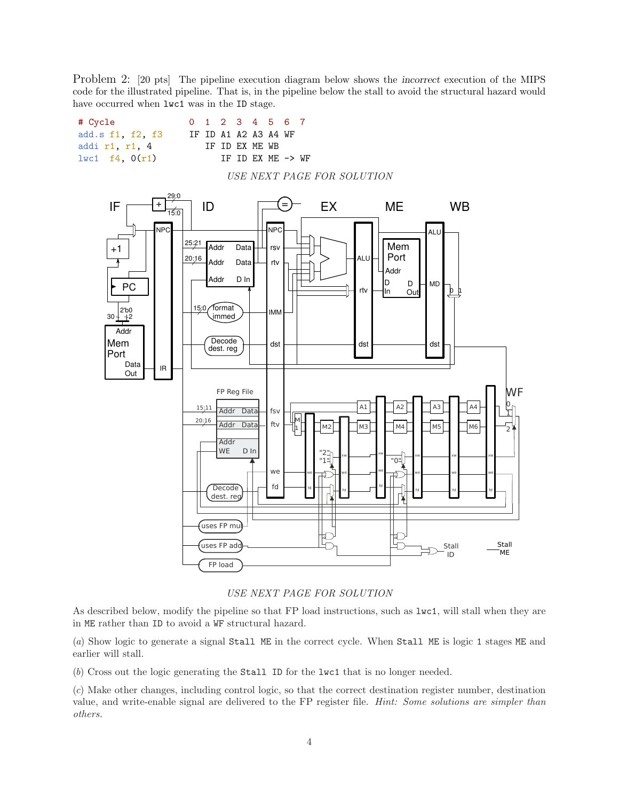Problem 2: [20 pts] The pipeline execution diagram below shows the incorrect execution of the MIPS code for the illustrated pipeline. That is, in the pipeline below the stall to avoid the structural hazard would have occurred when  $l$ wc1 was in the ID stage.



*USE NEXT PAGE FOR SOLUTION*

As described below, modify the pipeline so that FP load instructions, such as lwc1, will stall when they are in ME rather than ID to avoid a WF structural hazard.

(*a*) Show logic to generate a signal Stall ME in the correct cycle. When Stall ME is logic 1 stages ME and earlier will stall.

(*b*) Cross out the logic generating the Stall ID for the lwc1 that is no longer needed.

(*c*) Make other changes, including control logic, so that the correct destination register number, destination value, and write-enable signal are delivered to the FP register file. *Hint: Some solutions are simpler than others.*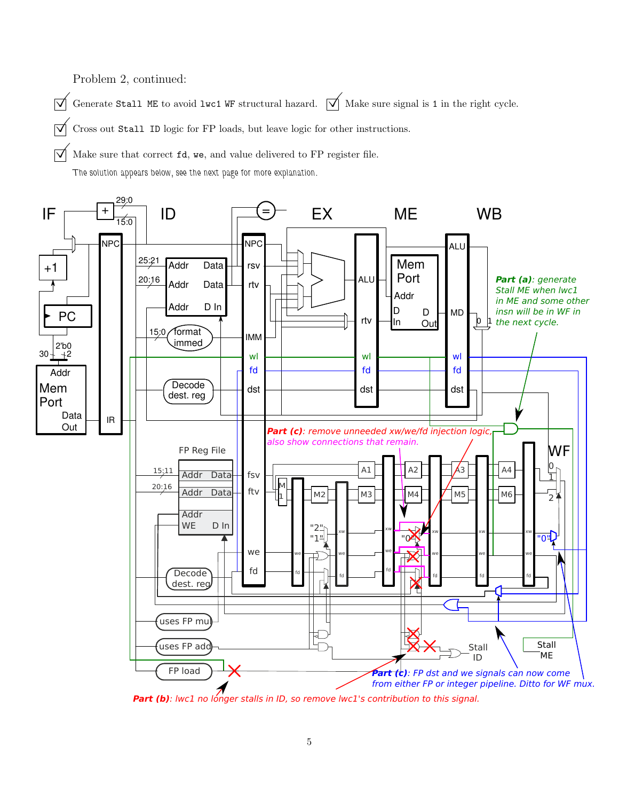Problem 2, continued:

 $\overrightarrow{\bigvee}$  Generate Stall ME to avoid lwc1 WF structural hazard.  $\overrightarrow{\bigvee}$  Make sure signal is 1 in the right cycle.

 $\triangledown$  Cross out Stall ID logic for FP loads, but leave logic for other instructions.

 $\triangledown$  Make sure that correct **fd**, we, and value delivered to FP register file.

The solution appears below, see the next page for more explanation.



Part (b): lwc1 no longer stalls in ID, so remove lwc1's contribution to this signal.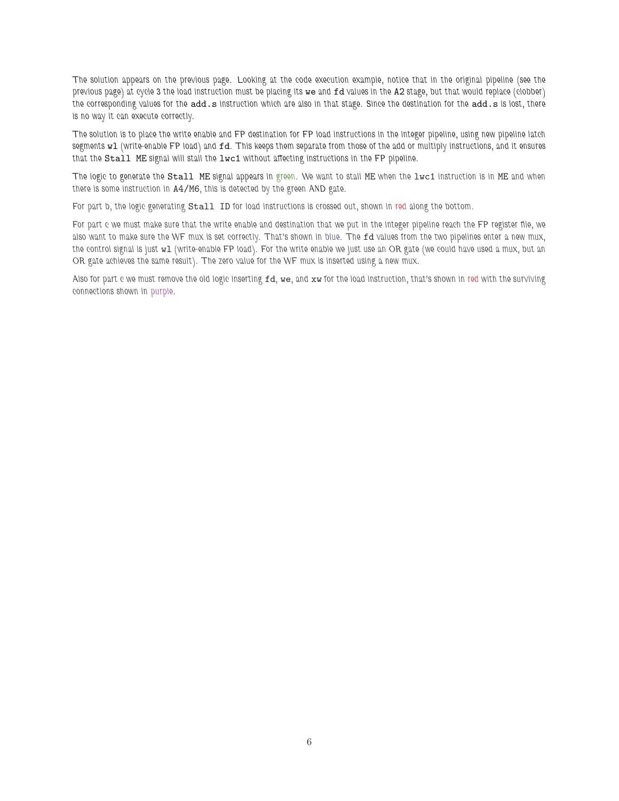The solution appears on the previous page. Looking at the code execution example, notice that in the original pipeline (see the previous page) at cycle 3 the load instruction must be placing its we and fd values in the A2 stage, but that would replace (clobber) the corresponding values for the add.s instruction which are also in that stage. Since the destination for the add.s is lost, there is no way it can execute correctly.

The solution is to place the write enable and FP destination for FP load instructions in the integer pipeline, using new pipeline latch segments w1 (write-enable FP load) and fd. This keeps them separate from those of the add or multiply instructions, and it ensures that the Stall ME signal will stall the lwc1 without affecting instructions in the FP pipeline.

The logic to generate the Stall ME signal appears in green. We want to stall ME when the lwc1 instruction is in ME and when there is some instruction in A4/M6, this is detected by the green AND gate.

For part b, the logic generating Stall ID for load instructions is crossed out, shown in red along the bottom.

For part c we must make sure that the write enable and destination that we put in the integer pipeline reach the FP register file, we also want to make sure the WF mux is set correctly. That's shown in blue. The fd values from the two pipelines enter a new mux, the control signal is just wl (write-enable FP load). For the write enable we just use an OR gate (we could have used a mux, but an OR gate achieves the same result). The zero value for the WF mux is inserted using a new mux.

Also for part c we must remove the old logic inserting  $fd$ , we, and xw for the load instruction, that's shown in red with the surviving connections shown in purple.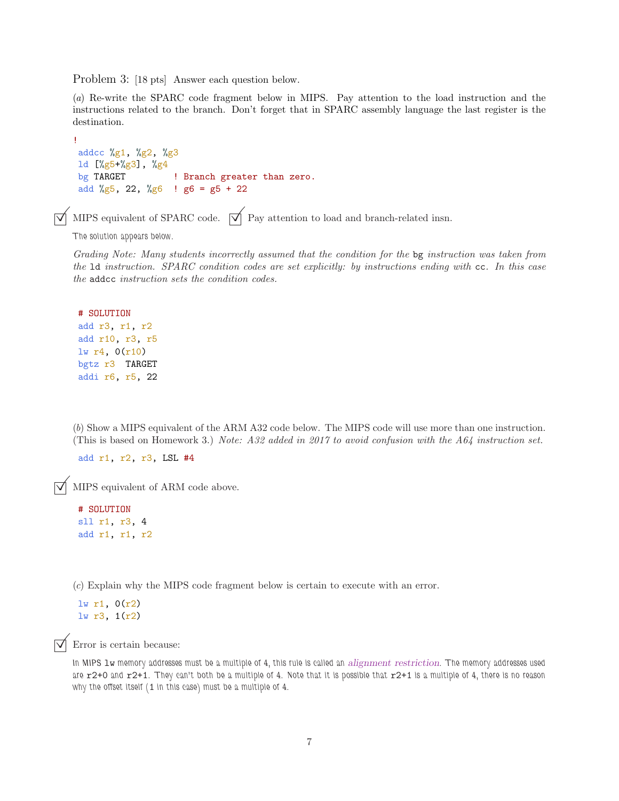Problem 3: [18 pts] Answer each question below.

(*a*) Re-write the SPARC code fragment below in MIPS. Pay attention to the load instruction and the instructions related to the branch. Don't forget that in SPARC assembly language the last register is the destination.

```
!
addcc %g1, %g2, %g3
ld [%g5+%g3], %g4
bg TARGET ! Branch greater than zero.
add %g5, 22, %g6 ! g6 = g5 + 22
```
MIPS equivalent of SPARC code.  $\overrightarrow{\mathsf{V}}$  Pay attention to load and branch-related insn.

The solution appears below.

*Grading Note: Many students incorrectly assumed that the condition for the* bg *instruction was taken from the* ld *instruction. SPARC condition codes are set explicitly: by instructions ending with* cc*. In this case the* addcc *instruction sets the condition codes.*

```
# SOLUTION
add r3, r1, r2
add r10, r3, r5
lw r4, 0(r10)
bgtz r3 TARGET
addi r6, r5, 22
```
(*b*) Show a MIPS equivalent of the ARM A32 code below. The MIPS code will use more than one instruction. (This is based on Homework 3.) *Note: A32 added in 2017 to avoid confusion with the A64 instruction set.*

add r1, r2, r3, LSL #4

 $\triangledown$  MIPS equivalent of ARM code above.

```
# SOLUTION
sll r1, r3, 4
add r1, r1, r2
```
(*c*) Explain why the MIPS code fragment below is certain to execute with an error.

lw r1, 0(r2) lw r3, 1(r2)

Error is certain because:

In MIPS lw memory addresses must be a multiple of 4, this rule is called an *alignment restriction*. The memory addresses used are r2+0 and r2+1. They can't both be a multiple of 4. Note that it is possible that r2+1 is a multiple of 4, there is no reason why the offset itself (1 in this case) must be a multiple of 4.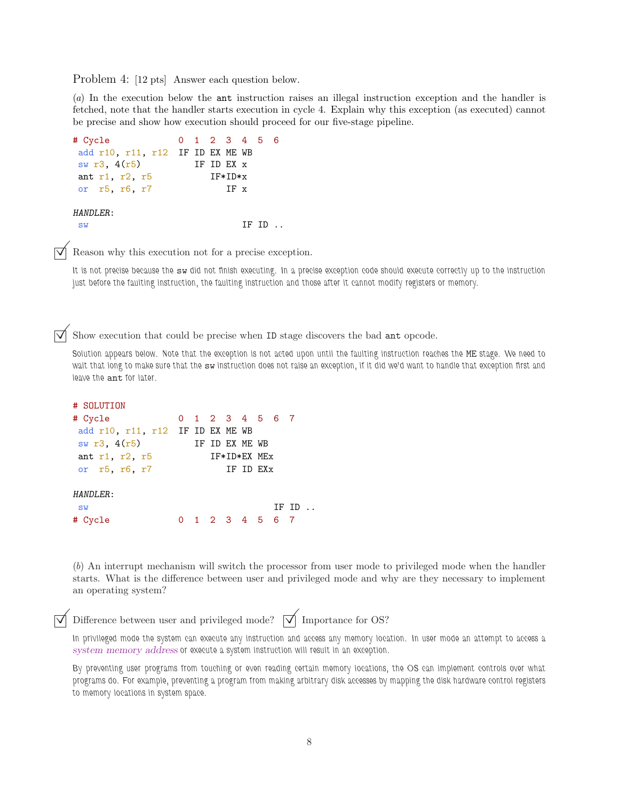Problem 4: [12 pts] Answer each question below.

(*a*) In the execution below the ant instruction raises an illegal instruction exception and the handler is fetched, note that the handler starts execution in cycle 4. Explain why this exception (as executed) cannot be precise and show how execution should proceed for our five-stage pipeline.

```
# Cycle 0 1 2 3 4 5 6
add r10, r11, r12 IF ID EX ME WB
sw r3, 4(r5) IF ID EX x
ant r1, r2, r5 IF*ID*x
or r5, r6, r7 IF x
HANDLER:
sw IF ID ..
```
Reason why this execution not for a precise exception.

It is not precise because the sw did not finish executing. In a precise exception code should execute correctly up to the instruction just before the faulting instruction, the faulting instruction and those after it cannot modify registers or memory.

Show execution that could be precise when ID stage discovers the bad ant opcode.

Solution appears below. Note that the exception is not acted upon until the faulting instruction reaches the ME stage. We need to wait that long to make sure that the sw instruction does not raise an exception, if it did we'd want to handle that exception first and leave the ant for later.

```
# SOLUTION
# Cycle 0 1 2 3 4 5 6 7
add r10, r11, r12 IF ID EX ME WB
sw r3, 4(r5) IF ID EX ME WB
ant r1, r2, r5 IF*ID*EX MEx
or r5, r6, r7 IF ID EXx
HANDLER:
sw IF ID ..
# Cycle 0 1 2 3 4 5 6 7
```
(*b*) An interrupt mechanism will switch the processor from user mode to privileged mode when the handler starts. What is the difference between user and privileged mode and why are they necessary to implement an operating system?

Difference between user and privileged mode?  $\forall$  Importance for OS?

In privileged mode the system can execute any instruction and access any memory location. In user mode an attempt to access a system memory address or execute a system instruction will result in an exception.

By preventing user programs from touching or even reading certain memory locations, the OS can implement controls over what programs do. For example, preventing a program from making arbitrary disk accesses by mapping the disk hardware control registers to memory locations in system space.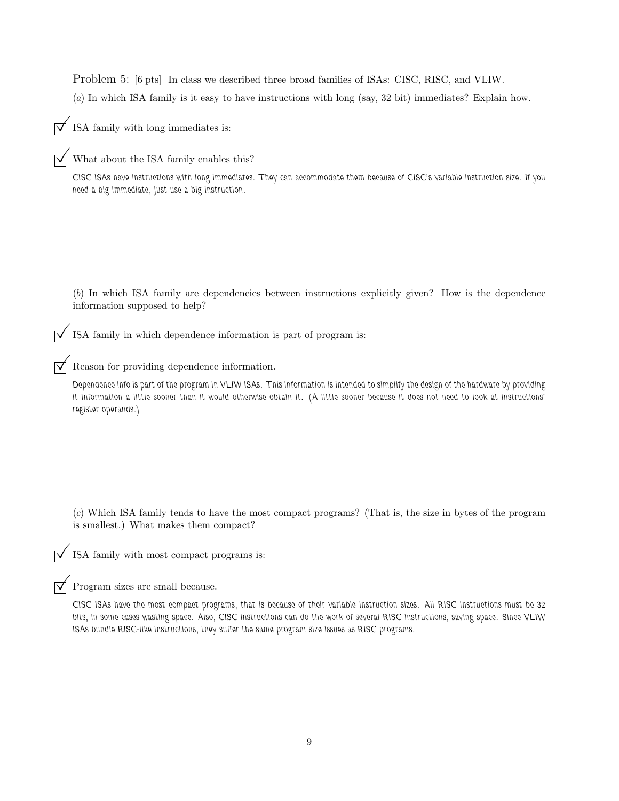Problem 5: [6 pts] In class we described three broad families of ISAs: CISC, RISC, and VLIW. (*a*) In which ISA family is it easy to have instructions with long (say, 32 bit) immediates? Explain how.

ISA family with long immediates is:

What about the ISA family enables this?

CISC ISAs have instructions with long immediates. They can accommodate them because of CISC's variable instruction size. If you need a big immediate, just use a big instruction.

(*b*) In which ISA family are dependencies between instructions explicitly given? How is the dependence information supposed to help?

ISA family in which dependence information is part of program is:

 $\triangledown$  Reason for providing dependence information.

Dependence info is part of the program in VLIW ISAs. This information is intended to simplify the design of the hardware by providing it information a little sooner than it would otherwise obtain it. (A little sooner because it does not need to look at instructions' register operands.)

(*c*) Which ISA family tends to have the most compact programs? (That is, the size in bytes of the program is smallest.) What makes them compact?

ISA family with most compact programs is:

 $\triangledown$  Program sizes are small because.

CISC ISAs have the most compact programs, that is because of their variable instruction sizes. All RISC instructions must be 32 bits, in some cases wasting space. Also, CISC instructions can do the work of several RISC instructions, saving space. Since VLIW ISAs bundle RISC-like instructions, they suffer the same program size issues as RISC programs.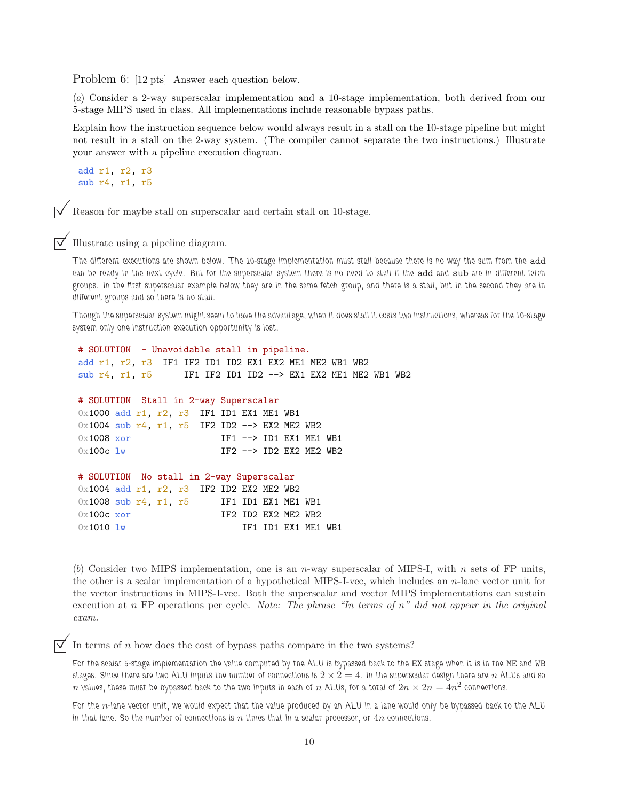Problem 6: [12 pts] Answer each question below.

(*a*) Consider a 2-way superscalar implementation and a 10-stage implementation, both derived from our 5-stage MIPS used in class. All implementations include reasonable bypass paths.

Explain how the instruction sequence below would always result in a stall on the 10-stage pipeline but might not result in a stall on the 2-way system. (The compiler cannot separate the two instructions.) Illustrate your answer with a pipeline execution diagram.

add r1, r2, r3 sub r4, r1, r5

Reason for maybe stall on superscalar and certain stall on 10-stage.

Illustrate using a pipeline diagram.

The different executions are shown below. The 10-stage implementation must stall because there is no way the sum from the add can be ready in the next cycle. But for the superscalar system there is no need to stall if the add and sub are in different fetch groups. In the first superscalar example below they are in the same fetch group, and there is a stall, but in the second they are in different groups and so there is no stall.

Though the superscalar system might seem to have the advantage, when it does stall it costs two instructions, whereas for the 10-stage system only one instruction execution opportunity is lost.

```
# SOLUTION - Unavoidable stall in pipeline.
add r1, r2, r3 IF1 IF2 ID1 ID2 EX1 EX2 ME1 ME2 WB1 WB2
sub r4, r1, r5 IF1 IF2 ID1 ID2 --> EX1 EX2 ME1 ME2 WB1 WB2
# SOLUTION Stall in 2-way Superscalar
0x1000 add r1, r2, r3 IF1 ID1 EX1 ME1 WB1
0x1004 sub r4, r1, r5 IF2 ID2 --> EX2 ME2 WB2
0x1008 xor IF1 --> ID1 EX1 ME1 WB1
0x100c lw IF2 --> ID2 EX2 ME2 WB2
# SOLUTION No stall in 2-way Superscalar
0x1004 add r1, r2, r3 IF2 ID2 EX2 ME2 WB2
0x1008 sub r4, r1, r5 IF1 ID1 EX1 ME1 WB1
0x100c xor IF2 ID2 EX2 ME2 WB2
0 \times 1010 lw IF1 ID1 EX1 ME1 WB1
```
(b) Consider two MIPS implementation, one is an n-way superscalar of MIPS-I, with n sets of FP units, the other is a scalar implementation of a hypothetical MIPS-I-vec, which includes an n-lane vector unit for the vector instructions in MIPS-I-vec. Both the superscalar and vector MIPS implementations can sustain execution at n FP operations per cycle. *Note: The phrase "In terms of* n*" did not appear in the original exam.*

In terms of  $n$  how does the cost of bypass paths compare in the two systems?

For the scalar 5-stage implementation the value computed by the ALU is bypassed back to the EX stage when it is in the ME and WB stages. Since there are two ALU inputs the number of connections is  $2 \times 2 = 4$ . In the superscalar design there are n ALUs and so  $n$  values, these must be bypassed back to the two inputs in each of  $n$  ALUs, for a total of  $2n\times 2n=\H{4}n^2$  connections.

For the n-lane vector unit, we would expect that the value produced by an ALU in a lane would only be bypassed back to the ALU in that lane. So the number of connections is  $n$  times that in a scalar processor, or  $4n$  connections.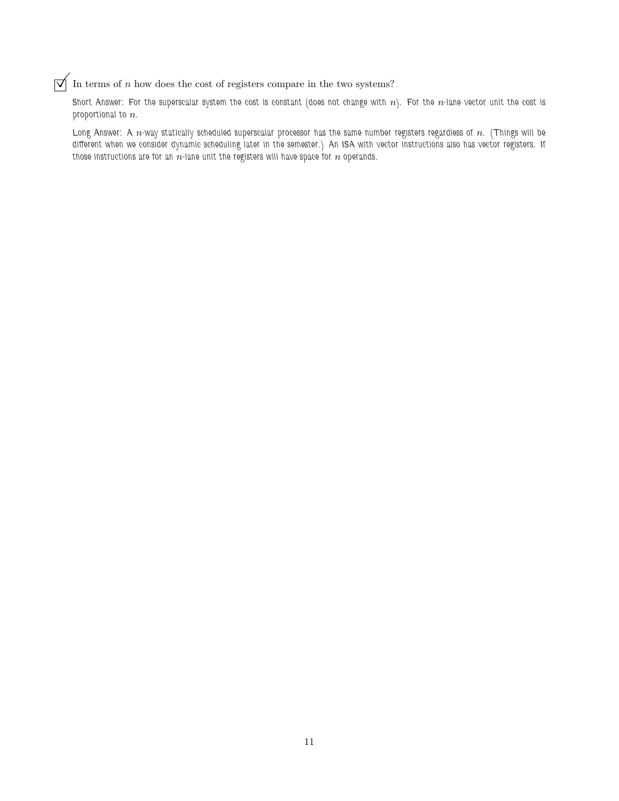$\vert \overrightarrow{\mathsf{V}} \vert$  In terms of n how does the cost of registers compare in the two systems?

Short Answer: For the superscalar system the cost is constant (does not change with  $n$ ). For the  $n$ -lane vector unit the cost is proportional to  $n$ .

Long Answer: A  $n$ -way statically scheduled superscalar processor has the same number registers regardless of  $n$ . (Things will be different when we consider dynamic scheduling later in the semester.) An ISA with vector instructions also has vector registers. If those instructions are for an  $n$ -lane unit the registers will have space for  $n$  operands.